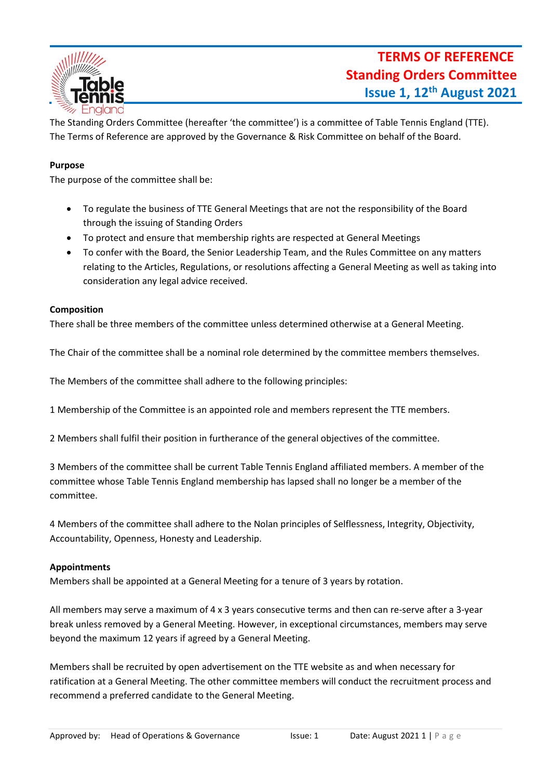

The Standing Orders Committee (hereafter 'the committee') is a committee of Table Tennis England (TTE). The Terms of Reference are approved by the Governance & Risk Committee on behalf of the Board.

## **Purpose**

The purpose of the committee shall be:

- To regulate the business of TTE General Meetings that are not the responsibility of the Board through the issuing of Standing Orders
- To protect and ensure that membership rights are respected at General Meetings
- To confer with the Board, the Senior Leadership Team, and the Rules Committee on any matters relating to the Articles, Regulations, or resolutions affecting a General Meeting as well as taking into consideration any legal advice received.

### **Composition**

There shall be three members of the committee unless determined otherwise at a General Meeting.

The Chair of the committee shall be a nominal role determined by the committee members themselves.

The Members of the committee shall adhere to the following principles:

1 Membership of the Committee is an appointed role and members represent the TTE members.

2 Members shall fulfil their position in furtherance of the general objectives of the committee.

3 Members of the committee shall be current Table Tennis England affiliated members. A member of the committee whose Table Tennis England membership has lapsed shall no longer be a member of the committee.

4 Members of the committee shall adhere to the Nolan principles of Selflessness, Integrity, Objectivity, Accountability, Openness, Honesty and Leadership.

### **Appointments**

Members shall be appointed at a General Meeting for a tenure of 3 years by rotation.

All members may serve a maximum of 4 x 3 years consecutive terms and then can re-serve after a 3-year break unless removed by a General Meeting. However, in exceptional circumstances, members may serve beyond the maximum 12 years if agreed by a General Meeting.

Members shall be recruited by open advertisement on the TTE website as and when necessary for ratification at a General Meeting. The other committee members will conduct the recruitment process and recommend a preferred candidate to the General Meeting.